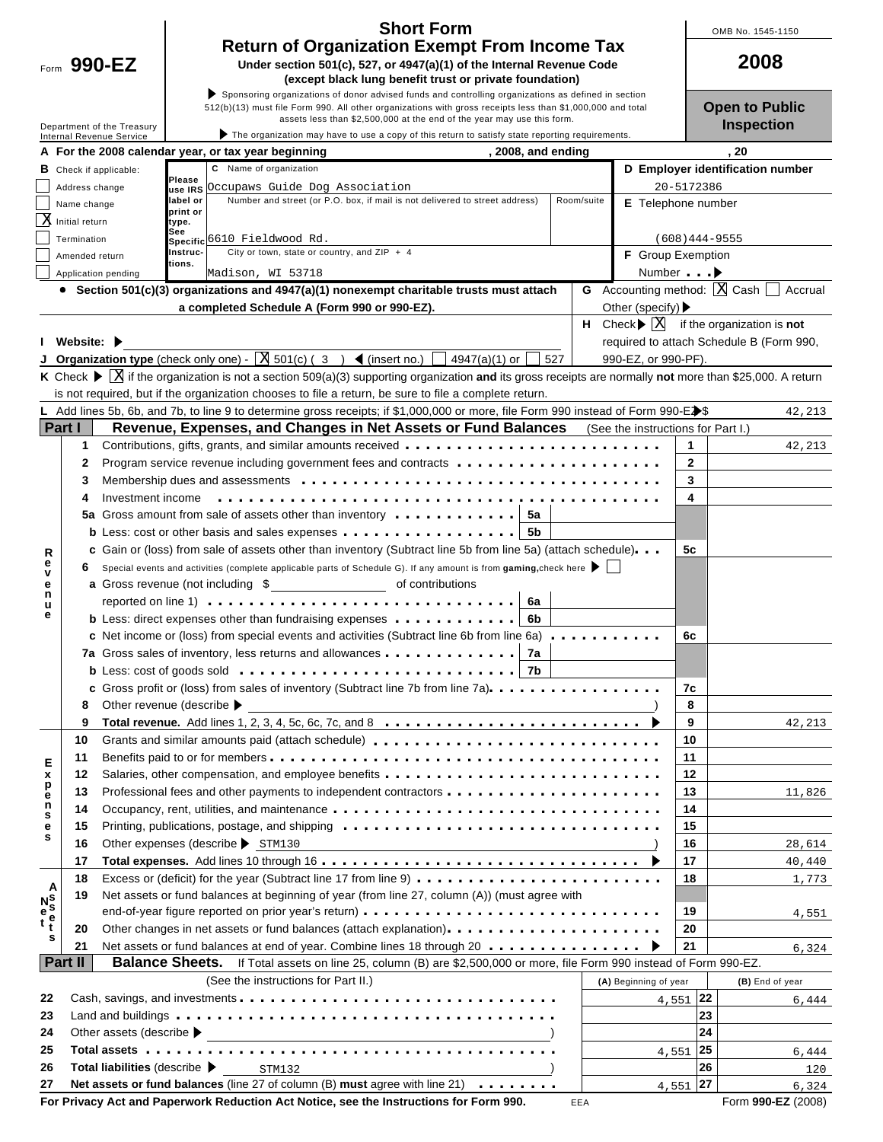Form 990-EZ

# **Short Form Return of Organization Exempt From Income Tax**

**990-EZ 2008 Under section 501(c), 527, or 4947(a)(1) of the Internal Revenue Code (except black lung benefit trust or private foundation)**

> Sponsoring organizations of donor advised funds and controlling organizations as defined in section 512(b)(13) must file Form 990. All other organizations with gross receipts less than \$1,000,000 and total assets less than \$2,500,000 at the end of the year may use this form.

OMB No. 1545-1150

**Open to Public Inspection**

|                                                       | Department of the Treasury                        |                                                                                                                                                              | assets less than \$2,500,000 at the end of the year may use this form.     |                                         | <b>Inspection</b>                                                                         |
|-------------------------------------------------------|---------------------------------------------------|--------------------------------------------------------------------------------------------------------------------------------------------------------------|----------------------------------------------------------------------------|-----------------------------------------|-------------------------------------------------------------------------------------------|
|                                                       | <b>Internal Revenue Service</b>                   | The organization may have to use a copy of this return to satisfy state reporting requirements.                                                              |                                                                            |                                         |                                                                                           |
|                                                       |                                                   | A For the 2008 calendar year, or tax year beginning                                                                                                          | $, 2008,$ and ending                                                       |                                         | . 20                                                                                      |
|                                                       | <b>B</b> Check if applicable:                     | C Name of organization<br>Please                                                                                                                             |                                                                            |                                         | D Employer identification number                                                          |
|                                                       | Address change                                    | Occupaws Guide Dog Association<br>use IRS                                                                                                                    |                                                                            |                                         | 20-5172386                                                                                |
|                                                       | Name change                                       | label or<br>Number and street (or P.O. box, if mail is not delivered to street address)<br>print or                                                          |                                                                            | Room/suite<br><b>E</b> Telephone number |                                                                                           |
|                                                       | $X$ Initial return                                | type.<br>See                                                                                                                                                 |                                                                            |                                         |                                                                                           |
|                                                       | Termination                                       | Specific 6610 Fieldwood Rd.                                                                                                                                  |                                                                            |                                         | $(608)444-9555$                                                                           |
|                                                       | Amended return                                    | City or town, state or country, and ZIP $+4$<br>Instruc-<br>tions.                                                                                           |                                                                            | <b>F</b> Group Exemption                |                                                                                           |
|                                                       | Application pending                               | Madison, WI 53718                                                                                                                                            |                                                                            | Number                                  |                                                                                           |
|                                                       |                                                   | Section 501(c)(3) organizations and 4947(a)(1) nonexempt charitable trusts must attach                                                                       |                                                                            | <b>G</b> Accounting method: $X$ Cash    | Accrual                                                                                   |
|                                                       |                                                   | a completed Schedule A (Form 990 or 990-EZ).                                                                                                                 |                                                                            | Other (specify) $\blacktriangleright$   |                                                                                           |
|                                                       |                                                   |                                                                                                                                                              |                                                                            |                                         | <b>H</b> Check $\blacktriangleright \boxed{\mathbf{X}}$ if the organization is <b>not</b> |
|                                                       | I Website: ▶                                      |                                                                                                                                                              |                                                                            |                                         | required to attach Schedule B (Form 990,                                                  |
|                                                       |                                                   | <b>J</b> Organization type (check only one) - $\boxed{\times}$ 501(c) (3) < (insert no.)                                                                     | $4947(a)(1)$ or<br>527                                                     | 990-EZ, or 990-PF).                     |                                                                                           |
|                                                       |                                                   | K Check ▶ $\chi$ if the organization is not a section 509(a)(3) supporting organization and its gross receipts are normally not more than \$25,000. A return |                                                                            |                                         |                                                                                           |
|                                                       |                                                   | is not required, but if the organization chooses to file a return, be sure to file a complete return.                                                        |                                                                            |                                         |                                                                                           |
|                                                       |                                                   | L Add lines 5b, 6b, and 7b, to line 9 to determine gross receipts; if \$1,000,000 or more, file Form 990 instead of Form 990-E <sup>5</sup>                  |                                                                            |                                         | 42,213                                                                                    |
|                                                       | Part I                                            | Revenue, Expenses, and Changes in Net Assets or Fund Balances                                                                                                |                                                                            | (See the instructions for Part I.)      |                                                                                           |
|                                                       | 1                                                 | Contributions, gifts, grants, and similar amounts received                                                                                                   |                                                                            |                                         | 1<br>42,213                                                                               |
|                                                       | 2                                                 | Program service revenue including government fees and contracts                                                                                              |                                                                            |                                         | $\mathbf{2}$                                                                              |
|                                                       | 3                                                 | Membership dues and assessments                                                                                                                              |                                                                            |                                         | 3                                                                                         |
|                                                       | Investment income<br>4                            |                                                                                                                                                              |                                                                            |                                         | 4                                                                                         |
|                                                       |                                                   | 5a Gross amount from sale of assets other than inventory $\cdots \cdots \cdots$                                                                              | 5а                                                                         |                                         |                                                                                           |
|                                                       |                                                   | b Less: cost or other basis and sales expenses                                                                                                               | -5b                                                                        |                                         |                                                                                           |
| R                                                     |                                                   | c Gain or (loss) from sale of assets other than inventory (Subtract line 5b from line 5a) (attach schedule).                                                 |                                                                            |                                         | 5c                                                                                        |
| е                                                     | 6                                                 | Special events and activities (complete applicable parts of Schedule G). If any amount is from gaming, check here                                            |                                                                            |                                         |                                                                                           |
| v<br>е                                                |                                                   | <b>a</b> Gross revenue (not including \$                                                                                                                     | of contributions                                                           |                                         |                                                                                           |
| n                                                     |                                                   |                                                                                                                                                              | 6a                                                                         |                                         |                                                                                           |
|                                                       |                                                   | <b>b</b> Less: direct expenses other than fundraising expenses $\cdot \cdot \cdot \cdot \cdot \cdot \cdot \cdot \cdot \cdot$                                 | 6b                                                                         |                                         |                                                                                           |
|                                                       |                                                   | c Net income or (loss) from special events and activities (Subtract line 6b from line 6a)                                                                    |                                                                            |                                         | 6с                                                                                        |
|                                                       |                                                   | 7a Gross sales of inventory, less returns and allowances                                                                                                     | 7a                                                                         |                                         |                                                                                           |
|                                                       |                                                   |                                                                                                                                                              | - 7b                                                                       |                                         |                                                                                           |
|                                                       |                                                   | c Gross profit or (loss) from sales of inventory (Subtract line 7b from line 7a).                                                                            |                                                                            |                                         | 7c                                                                                        |
|                                                       | 8                                                 | Other revenue (describe                                                                                                                                      |                                                                            |                                         | 8                                                                                         |
|                                                       | 9                                                 | Total revenue. Add lines 1, 2, 3, 4, 5c, 6c, 7c, and 8 $\dots \dots \dots \dots \dots \dots \dots \dots \dots \dots$                                         |                                                                            |                                         | 9<br>42,213                                                                               |
|                                                       | 10                                                | Grants and similar amounts paid (attach schedule)                                                                                                            |                                                                            |                                         | 10                                                                                        |
|                                                       | 11                                                |                                                                                                                                                              |                                                                            |                                         | 11                                                                                        |
| $\pmb{\mathsf{x}}$                                    | 12                                                |                                                                                                                                                              |                                                                            |                                         | 12                                                                                        |
| p<br>e                                                | 13                                                |                                                                                                                                                              |                                                                            |                                         | 13<br>11,826                                                                              |
| n                                                     | 14                                                | Occupancy, rent, utilities, and maintenance                                                                                                                  |                                                                            |                                         | 14                                                                                        |
| s<br>е                                                | 15                                                | Printing, publications, postage, and shipping                                                                                                                |                                                                            |                                         | 15                                                                                        |
| s                                                     | 16                                                | Other expenses (describe > STM130                                                                                                                            |                                                                            |                                         | 16<br>28,614                                                                              |
|                                                       | 17                                                |                                                                                                                                                              | the control of the control of the control of the control of the control of |                                         | 17<br>40,440                                                                              |
|                                                       | 18                                                | Excess or (deficit) for the year (Subtract line 17 from line 9)                                                                                              |                                                                            |                                         | 18<br>1,773                                                                               |
| A                                                     | 19                                                | Net assets or fund balances at beginning of year (from line 27, column (A)) (must agree with                                                                 |                                                                            |                                         |                                                                                           |
| $\begin{array}{c}\nN_S^S \\ e \\ t \\ t\n\end{array}$ |                                                   | end-of-year figure reported on prior year's return)                                                                                                          |                                                                            |                                         | 19<br>4,551                                                                               |
|                                                       | 20                                                | Other changes in net assets or fund balances (attach explanation).                                                                                           |                                                                            |                                         | 20                                                                                        |
| s                                                     | 21                                                | Net assets or fund balances at end of year. Combine lines 18 through 20                                                                                      |                                                                            |                                         | 21<br>6,324                                                                               |
|                                                       | Part II                                           | Balance Sheets. If Total assets on line 25, column (B) are \$2,500,000 or more, file Form 990 instead of Form 990-EZ.                                        |                                                                            |                                         |                                                                                           |
|                                                       |                                                   | (See the instructions for Part II.)                                                                                                                          |                                                                            | (A) Beginning of year                   | (B) End of year                                                                           |
| 22                                                    |                                                   | Cash, savings, and investments                                                                                                                               |                                                                            | $4,551$ 22                              | 6,444                                                                                     |
| 23                                                    |                                                   |                                                                                                                                                              |                                                                            |                                         | 23                                                                                        |
| 24                                                    | Other assets (describe •                          |                                                                                                                                                              |                                                                            |                                         | 24                                                                                        |
| 25                                                    |                                                   | <u> 1989 - Johann Stein, marwolaethau a bhann an t-Amhair an t-Amhair an t-Amhair an t-Amhair an t-Amhair an t-A</u>                                         |                                                                            | $4,551$ 25                              |                                                                                           |
| 26                                                    | Total liabilities (describe $\blacktriangleright$ | STM132                                                                                                                                                       |                                                                            |                                         | 6,444<br>26                                                                               |
| 27                                                    |                                                   | Net assets or fund balances (line 27 of column (B) must agree with line 21)                                                                                  |                                                                            | $4,551$ 27                              | 120                                                                                       |
|                                                       |                                                   |                                                                                                                                                              |                                                                            |                                         | 6,324                                                                                     |

**For Privacy Act and Paperwork Reduction Act Notice, see the Instructions for Form 990.**

EEA

Form **990-EZ** (2008)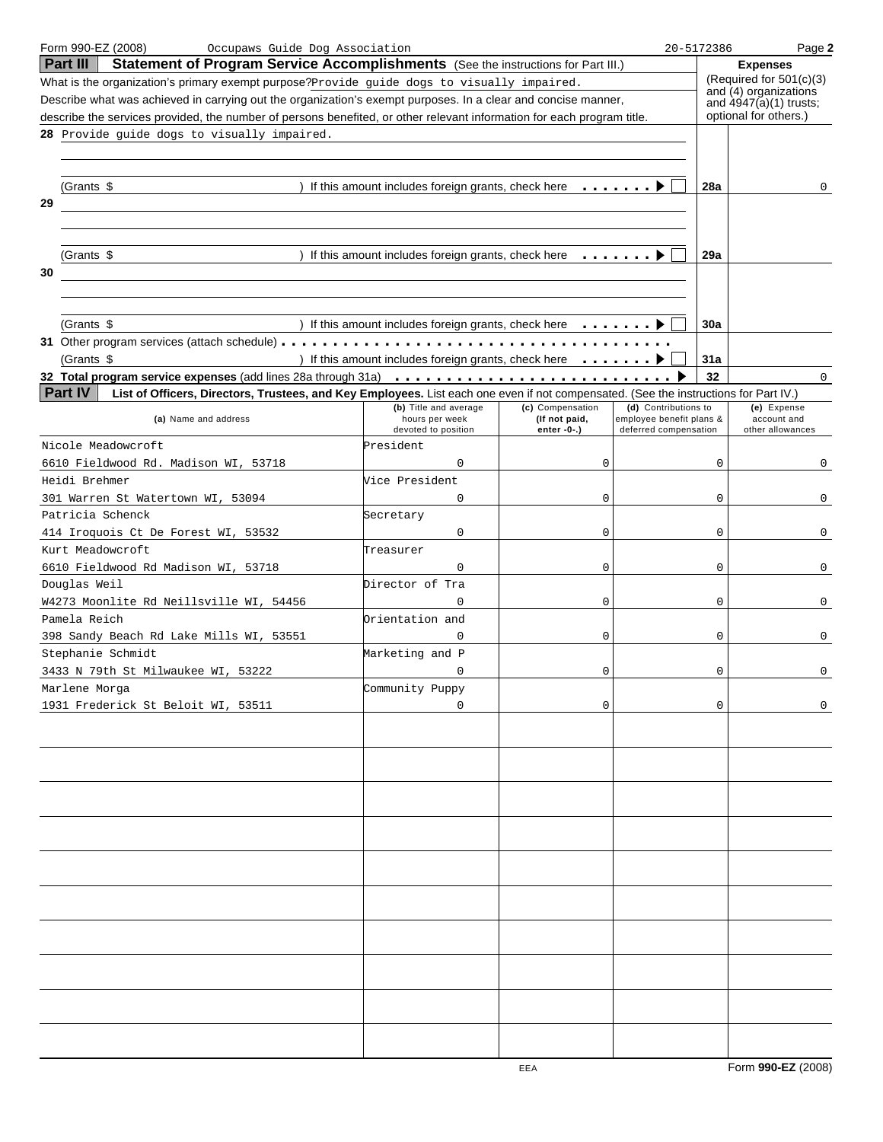|    | Form 990-EZ (2008)<br>Occupaws Guide Dog Association                                                                                                   |                                                                                  |                  |                          | 20-5172386 | Page 2                                            |
|----|--------------------------------------------------------------------------------------------------------------------------------------------------------|----------------------------------------------------------------------------------|------------------|--------------------------|------------|---------------------------------------------------|
|    | <b>Part III</b><br>Statement of Program Service Accomplishments (See the instructions for Part III.)                                                   |                                                                                  |                  |                          |            | <b>Expenses</b>                                   |
|    | What is the organization's primary exempt purpose? Provide guide dogs to visually impaired.                                                            |                                                                                  |                  |                          |            | (Required for $501(c)(3)$                         |
|    | Describe what was achieved in carrying out the organization's exempt purposes. In a clear and concise manner,                                          |                                                                                  |                  |                          |            | and (4) organizations<br>and $4947(a)(1)$ trusts; |
|    | describe the services provided, the number of persons benefited, or other relevant information for each program title.                                 |                                                                                  |                  |                          |            | optional for others.)                             |
|    | 28 Provide guide dogs to visually impaired.                                                                                                            |                                                                                  |                  |                          |            |                                                   |
|    |                                                                                                                                                        |                                                                                  |                  |                          |            |                                                   |
|    |                                                                                                                                                        |                                                                                  |                  |                          |            |                                                   |
|    | (Grants \$                                                                                                                                             | ) If this amount includes foreign grants, check here $\dots \dots$               |                  |                          |            |                                                   |
|    |                                                                                                                                                        |                                                                                  |                  |                          | 28a        | 0                                                 |
| 29 |                                                                                                                                                        |                                                                                  |                  |                          |            |                                                   |
|    |                                                                                                                                                        |                                                                                  |                  |                          |            |                                                   |
|    |                                                                                                                                                        |                                                                                  |                  |                          |            |                                                   |
|    | (Grants \$                                                                                                                                             | ) If this amount includes foreign grants, check here ••••••••••••••••••••••••••• |                  |                          | 29a        |                                                   |
| 30 |                                                                                                                                                        |                                                                                  |                  |                          |            |                                                   |
|    |                                                                                                                                                        |                                                                                  |                  |                          |            |                                                   |
|    |                                                                                                                                                        |                                                                                  |                  |                          |            |                                                   |
|    | (Grants \$                                                                                                                                             | ) If this amount includes foreign grants, check here $\dots \dots$               |                  |                          | 30a        |                                                   |
|    | 31 Other program services (attach schedule) $\cdots$ $\cdots$ $\cdots$                                                                                 |                                                                                  |                  |                          |            |                                                   |
|    | (Grants \$                                                                                                                                             | ) If this amount includes foreign grants, check here                             |                  | .                        | 31a        |                                                   |
|    | 32 Total program service expenses (add lines 28a through 31a)                                                                                          |                                                                                  |                  |                          | 32         | 0                                                 |
|    | <b>Part IV</b><br>List of Officers, Directors, Trustees, and Key Employees. List each one even if not compensated. (See the instructions for Part IV.) |                                                                                  |                  |                          |            |                                                   |
|    |                                                                                                                                                        | (b) Title and average                                                            | (c) Compensation | (d) Contributions to     |            | (e) Expense                                       |
|    | (a) Name and address                                                                                                                                   | hours per week                                                                   | (If not paid,    | employee benefit plans & |            | account and                                       |
|    |                                                                                                                                                        | devoted to position                                                              | enter -0-.)      | deferred compensation    |            | other allowances                                  |
|    | Nicole Meadowcroft                                                                                                                                     | President                                                                        |                  |                          |            |                                                   |
|    | 6610 Fieldwood Rd. Madison WI, 53718                                                                                                                   | $\mathbf 0$                                                                      | 0                |                          | 0          | 0                                                 |
|    | Heidi Brehmer                                                                                                                                          | Vice President                                                                   |                  |                          |            |                                                   |
|    | 301 Warren St Watertown WI, 53094                                                                                                                      | 0                                                                                | 0                |                          | 0          | 0                                                 |
|    | Patricia Schenck                                                                                                                                       | Secretary                                                                        |                  |                          |            |                                                   |
|    | 414 Iroquois Ct De Forest WI, 53532                                                                                                                    | 0                                                                                | 0                |                          | 0          | 0                                                 |
|    | Kurt Meadowcroft                                                                                                                                       | Treasurer                                                                        |                  |                          |            |                                                   |
|    | 6610 Fieldwood Rd Madison WI, 53718                                                                                                                    | $\mathbf 0$                                                                      | 0                |                          | 0          | 0                                                 |
|    | Douglas Weil                                                                                                                                           | Director of Tra                                                                  |                  |                          |            |                                                   |
|    | W4273 Moonlite Rd Neillsville WI, 54456                                                                                                                | $\mathbf 0$                                                                      | 0                |                          | 0          | 0                                                 |
|    | Pamela Reich                                                                                                                                           | Orientation and                                                                  |                  |                          |            |                                                   |
|    | 398 Sandy Beach Rd Lake Mills WI, 53551                                                                                                                | $\mathbf 0$                                                                      | 0                |                          | 0          | 0                                                 |
|    | Stephanie Schmidt                                                                                                                                      | Marketing and P                                                                  |                  |                          |            |                                                   |
|    | 3433 N 79th St Milwaukee WI, 53222                                                                                                                     | 0                                                                                | 0                |                          | 0          | 0                                                 |
|    |                                                                                                                                                        |                                                                                  |                  |                          |            |                                                   |
|    | Marlene Morga                                                                                                                                          | Community Puppy                                                                  |                  |                          |            |                                                   |
|    | 1931 Frederick St Beloit WI, 53511                                                                                                                     | 0                                                                                | 0                |                          | 0          | 0                                                 |
|    |                                                                                                                                                        |                                                                                  |                  |                          |            |                                                   |
|    |                                                                                                                                                        |                                                                                  |                  |                          |            |                                                   |
|    |                                                                                                                                                        |                                                                                  |                  |                          |            |                                                   |
|    |                                                                                                                                                        |                                                                                  |                  |                          |            |                                                   |
|    |                                                                                                                                                        |                                                                                  |                  |                          |            |                                                   |
|    |                                                                                                                                                        |                                                                                  |                  |                          |            |                                                   |
|    |                                                                                                                                                        |                                                                                  |                  |                          |            |                                                   |
|    |                                                                                                                                                        |                                                                                  |                  |                          |            |                                                   |
|    |                                                                                                                                                        |                                                                                  |                  |                          |            |                                                   |
|    |                                                                                                                                                        |                                                                                  |                  |                          |            |                                                   |
|    |                                                                                                                                                        |                                                                                  |                  |                          |            |                                                   |
|    |                                                                                                                                                        |                                                                                  |                  |                          |            |                                                   |
|    |                                                                                                                                                        |                                                                                  |                  |                          |            |                                                   |
|    |                                                                                                                                                        |                                                                                  |                  |                          |            |                                                   |
|    |                                                                                                                                                        |                                                                                  |                  |                          |            |                                                   |
|    |                                                                                                                                                        |                                                                                  |                  |                          |            |                                                   |
|    |                                                                                                                                                        |                                                                                  |                  |                          |            |                                                   |
|    |                                                                                                                                                        |                                                                                  |                  |                          |            |                                                   |
|    |                                                                                                                                                        |                                                                                  |                  |                          |            |                                                   |
|    |                                                                                                                                                        |                                                                                  |                  |                          |            | $T_{\text{max}}$ 000 $E7$ (2000)                  |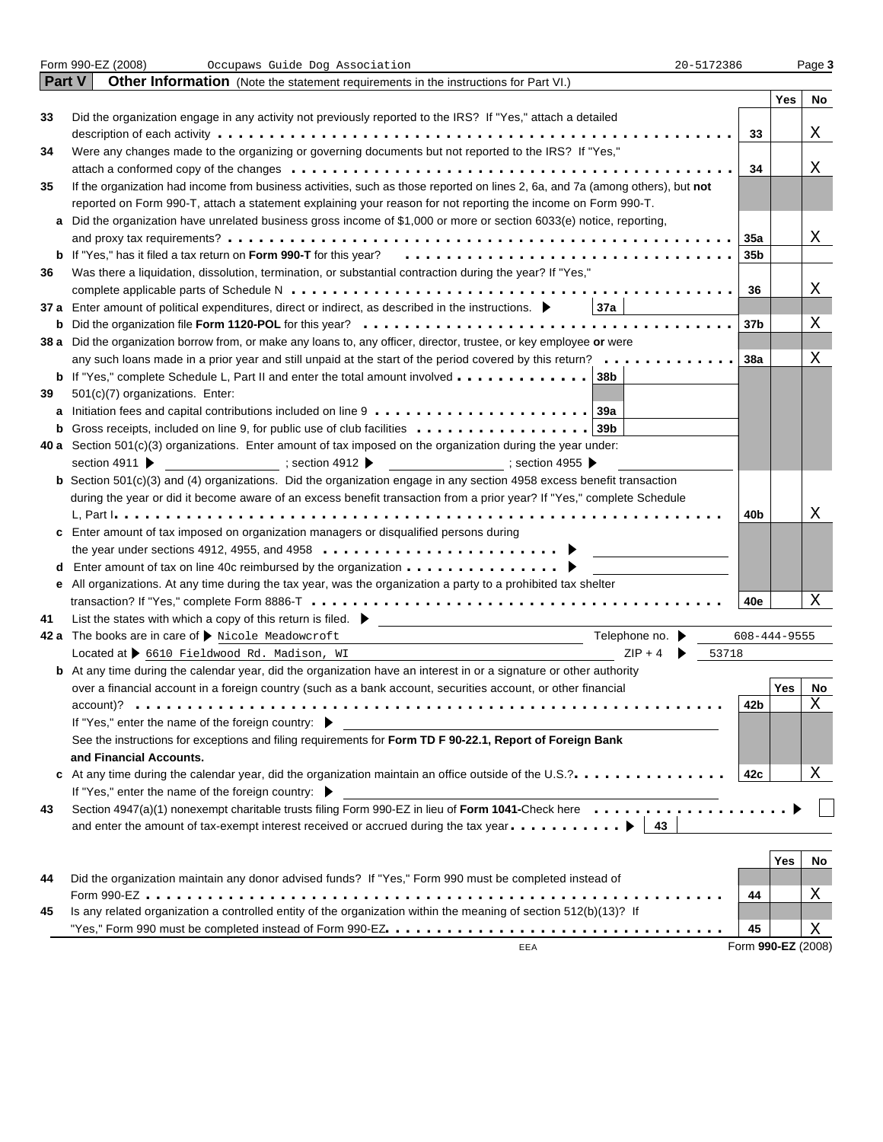|        | Form 990-EZ (2008)<br>20-5172386<br>Occupaws Guide Dog Association                                                                                                                                                                    |                    |            | Page 3 |
|--------|---------------------------------------------------------------------------------------------------------------------------------------------------------------------------------------------------------------------------------------|--------------------|------------|--------|
| Part V | Other Information (Note the statement requirements in the instructions for Part VI.)                                                                                                                                                  |                    |            |        |
|        |                                                                                                                                                                                                                                       |                    | <b>Yes</b> | No     |
| 33     | Did the organization engage in any activity not previously reported to the IRS? If "Yes," attach a detailed                                                                                                                           |                    |            |        |
|        |                                                                                                                                                                                                                                       | 33                 |            | Χ      |
| 34     | Were any changes made to the organizing or governing documents but not reported to the IRS? If "Yes,"                                                                                                                                 |                    |            |        |
|        |                                                                                                                                                                                                                                       | 34                 |            | x      |
| 35     | If the organization had income from business activities, such as those reported on lines 2, 6a, and 7a (among others), but not                                                                                                        |                    |            |        |
|        | reported on Form 990-T, attach a statement explaining your reason for not reporting the income on Form 990-T.<br>a Did the organization have unrelated business gross income of \$1,000 or more or section 6033(e) notice, reporting, |                    |            |        |
|        |                                                                                                                                                                                                                                       | 35a                |            | Χ      |
|        | <b>b</b> If "Yes," has it filed a tax return on Form 990-T for this year?                                                                                                                                                             | 35b                |            |        |
| 36     | Was there a liquidation, dissolution, termination, or substantial contraction during the year? If "Yes,"                                                                                                                              |                    |            |        |
|        |                                                                                                                                                                                                                                       | 36                 |            | Χ      |
|        | 37 a Enter amount of political expenditures, direct or indirect, as described in the instructions.<br>37a                                                                                                                             |                    |            |        |
|        |                                                                                                                                                                                                                                       | 37b                |            | Χ      |
|        | 38 a Did the organization borrow from, or make any loans to, any officer, director, trustee, or key employee or were                                                                                                                  |                    |            |        |
|        | any such loans made in a prior year and still unpaid at the start of the period covered by this return? $\dots \dots \dots \dots$                                                                                                     | 38a                |            | Χ      |
|        | b If "Yes," complete Schedule L, Part II and enter the total amount involved 38b                                                                                                                                                      |                    |            |        |
| 39     | 501(c)(7) organizations. Enter:                                                                                                                                                                                                       |                    |            |        |
|        | a Initiation fees and capital contributions included on line 9 39a                                                                                                                                                                    |                    |            |        |
|        |                                                                                                                                                                                                                                       |                    |            |        |
|        | 40 a Section 501(c)(3) organizations. Enter amount of tax imposed on the organization during the year under:                                                                                                                          |                    |            |        |
|        | $\sim$ ; section 4912 $\blacktriangleright$ $\sim$ ; section 4955 $\blacktriangleright$<br>section 4911 ▶                                                                                                                             |                    |            |        |
|        | <b>b</b> Section $501(c)(3)$ and (4) organizations. Did the organization engage in any section 4958 excess benefit transaction                                                                                                        |                    |            |        |
|        | during the year or did it become aware of an excess benefit transaction from a prior year? If "Yes," complete Schedule                                                                                                                |                    |            |        |
|        |                                                                                                                                                                                                                                       | 40b                |            | Χ      |
|        | c Enter amount of tax imposed on organization managers or disqualified persons during                                                                                                                                                 |                    |            |        |
|        | the year under sections 4912, 4955, and 4958 $\dots \dots \dots \dots \dots \dots \dots$<br>d Enter amount of tax on line 40c reimbursed by the organization ••••••••••••••••••••••••••••••••••                                       |                    |            |        |
|        | All organizations. At any time during the tax year, was the organization a party to a prohibited tax shelter                                                                                                                          |                    |            |        |
| е      |                                                                                                                                                                                                                                       | 40e                |            | Χ      |
| 41     | List the states with which a copy of this return is filed. $\blacktriangleright$                                                                                                                                                      |                    |            |        |
|        | 42 a The books are in care of > Nicole Meadowcroft<br>Telephone no. ▶                                                                                                                                                                 | 608-444-9555       |            |        |
|        | Located at > 6610 Fieldwood Rd. Madison, WI<br>$ZIP + 4$<br>53718                                                                                                                                                                     |                    |            |        |
|        | <b>b</b> At any time during the calendar year, did the organization have an interest in or a signature or other authority                                                                                                             |                    |            |        |
|        | over a financial account in a foreign country (such as a bank account, securities account, or other financial                                                                                                                         |                    | Yes        | No     |
|        |                                                                                                                                                                                                                                       | 42 <sub>b</sub>    |            | Χ      |
|        | If "Yes," enter the name of the foreign country: $\blacktriangleright$                                                                                                                                                                |                    |            |        |
|        | See the instructions for exceptions and filing requirements for Form TD F 90-22.1, Report of Foreign Bank                                                                                                                             |                    |            |        |
|        | and Financial Accounts.                                                                                                                                                                                                               |                    |            |        |
|        | c At any time during the calendar year, did the organization maintain an office outside of the U.S.?.                                                                                                                                 | 42c                |            | Χ      |
|        | If "Yes," enter the name of the foreign country: ▶                                                                                                                                                                                    |                    |            |        |
| 43     | Section 4947(a)(1) nonexempt charitable trusts filing Form 990-EZ in lieu of Form 1041-Check here                                                                                                                                     |                    |            |        |
|        |                                                                                                                                                                                                                                       |                    |            |        |
|        |                                                                                                                                                                                                                                       |                    |            |        |
|        |                                                                                                                                                                                                                                       |                    | Yes        | No     |
| 44     | Did the organization maintain any donor advised funds? If "Yes," Form 990 must be completed instead of                                                                                                                                |                    |            |        |
|        | Is any related organization a controlled entity of the organization within the meaning of section 512(b)(13)? If                                                                                                                      | 44                 |            | Χ      |
| 45     |                                                                                                                                                                                                                                       | 45                 |            | Χ      |
|        | EEA                                                                                                                                                                                                                                   | Form 990-EZ (2008) |            |        |
|        |                                                                                                                                                                                                                                       |                    |            |        |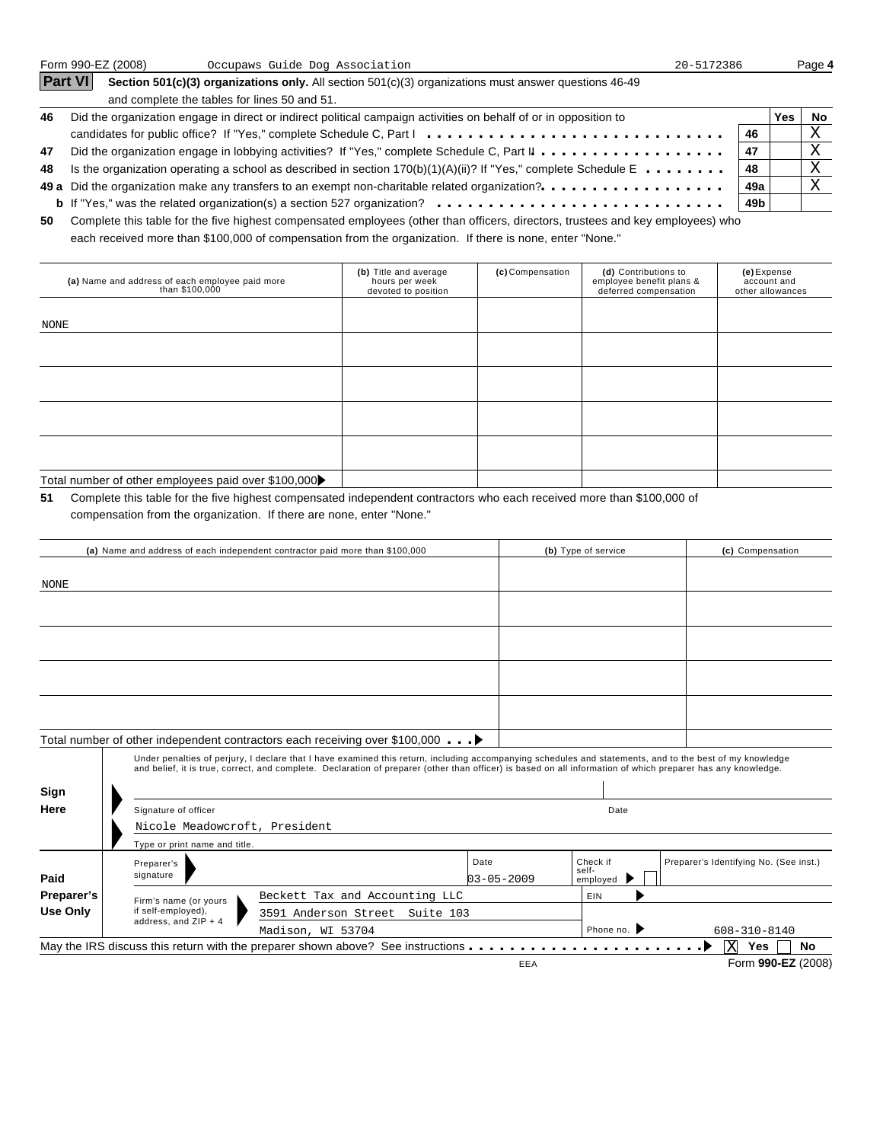|                                                                                                                               | Occupaws Guide Dog Association       | 20-5172386                                                                                                                                                                                                                                                                         |                                                                                                                                                                                                                                                                                                                                                                                                                    |                        | Page 4 |
|-------------------------------------------------------------------------------------------------------------------------------|--------------------------------------|------------------------------------------------------------------------------------------------------------------------------------------------------------------------------------------------------------------------------------------------------------------------------------|--------------------------------------------------------------------------------------------------------------------------------------------------------------------------------------------------------------------------------------------------------------------------------------------------------------------------------------------------------------------------------------------------------------------|------------------------|--------|
|                                                                                                                               |                                      |                                                                                                                                                                                                                                                                                    |                                                                                                                                                                                                                                                                                                                                                                                                                    |                        |        |
|                                                                                                                               |                                      |                                                                                                                                                                                                                                                                                    |                                                                                                                                                                                                                                                                                                                                                                                                                    |                        |        |
|                                                                                                                               |                                      |                                                                                                                                                                                                                                                                                    |                                                                                                                                                                                                                                                                                                                                                                                                                    | Yes                    | No     |
|                                                                                                                               |                                      |                                                                                                                                                                                                                                                                                    |                                                                                                                                                                                                                                                                                                                                                                                                                    |                        | Χ      |
|                                                                                                                               |                                      |                                                                                                                                                                                                                                                                                    |                                                                                                                                                                                                                                                                                                                                                                                                                    |                        | Χ      |
| Is the organization operating a school as described in section $170(b)(1)(A)(ii)$ ? If "Yes," complete Schedule E<br>48<br>48 |                                      |                                                                                                                                                                                                                                                                                    |                                                                                                                                                                                                                                                                                                                                                                                                                    |                        | Χ      |
|                                                                                                                               |                                      |                                                                                                                                                                                                                                                                                    |                                                                                                                                                                                                                                                                                                                                                                                                                    |                        | Χ      |
|                                                                                                                               |                                      |                                                                                                                                                                                                                                                                                    |                                                                                                                                                                                                                                                                                                                                                                                                                    |                        |        |
|                                                                                                                               | Form 990-EZ (2008)<br><b>Part VI</b> | <b>Section 501(c)(3) organizations only.</b> All section $501(c)(3)$ organizations must answer questions 46-49<br>and complete the tables for lines 50 and 51.<br>Did the organization engage in direct or indirect political campaign activities on behalf of or in opposition to | Did the organization engage in lobbying activities? If "Yes," complete Schedule C, Part $\mu \bullet \bullet \bullet \bullet \bullet \bullet \bullet \bullet \bullet \bullet \bullet \bullet \bullet \bullet \bullet \bullet$<br>49 a Did the organization make any transfers to an exempt non-charitable related organization?.<br><b>b</b> If "Yes," was the related organization(s) a section 527 organization? | 46<br>47<br>49a<br>49b |        |

**50** Complete this table for the five highest compensated employees (other than officers, directors, trustees and key employees) who each received more than \$100,000 of compensation from the organization. If there is none, enter "None."

| (a) Name and address of each employee paid more<br>than \$100,000 | (b) Title and average<br>hours per week<br>devoted to position | (c) Compensation | (d) Contributions to<br>employee benefit plans &<br>deferred compensation | (e) Expense<br>account and<br>other allowances |
|-------------------------------------------------------------------|----------------------------------------------------------------|------------------|---------------------------------------------------------------------------|------------------------------------------------|
|                                                                   |                                                                |                  |                                                                           |                                                |
| NONE                                                              |                                                                |                  |                                                                           |                                                |
|                                                                   |                                                                |                  |                                                                           |                                                |
|                                                                   |                                                                |                  |                                                                           |                                                |
|                                                                   |                                                                |                  |                                                                           |                                                |
|                                                                   |                                                                |                  |                                                                           |                                                |
|                                                                   |                                                                |                  |                                                                           |                                                |
|                                                                   |                                                                |                  |                                                                           |                                                |
|                                                                   |                                                                |                  |                                                                           |                                                |
|                                                                   |                                                                |                  |                                                                           |                                                |
| Total number of other employees paid over \$100,000               |                                                                |                  |                                                                           |                                                |

**51** Complete this table for the five highest compensated independent contractors who each received more than \$100,000 of compensation from the organization. If there are none, enter "None."

|                 |                                                       | (a) Name and address of each independent contractor paid more than \$100,000                                                                                                                                                                                                                                             |                                | (b) Type of service                     | (c) Compensation                       |  |  |
|-----------------|-------------------------------------------------------|--------------------------------------------------------------------------------------------------------------------------------------------------------------------------------------------------------------------------------------------------------------------------------------------------------------------------|--------------------------------|-----------------------------------------|----------------------------------------|--|--|
| <b>NONE</b>     |                                                       |                                                                                                                                                                                                                                                                                                                          |                                |                                         |                                        |  |  |
|                 |                                                       |                                                                                                                                                                                                                                                                                                                          |                                |                                         |                                        |  |  |
|                 |                                                       |                                                                                                                                                                                                                                                                                                                          |                                |                                         |                                        |  |  |
|                 |                                                       |                                                                                                                                                                                                                                                                                                                          |                                |                                         |                                        |  |  |
|                 |                                                       |                                                                                                                                                                                                                                                                                                                          |                                |                                         |                                        |  |  |
|                 |                                                       |                                                                                                                                                                                                                                                                                                                          |                                |                                         |                                        |  |  |
|                 |                                                       |                                                                                                                                                                                                                                                                                                                          |                                |                                         |                                        |  |  |
|                 |                                                       |                                                                                                                                                                                                                                                                                                                          |                                |                                         |                                        |  |  |
|                 |                                                       | Total number of other independent contractors each receiving over \$100,000 $\ldots$                                                                                                                                                                                                                                     |                                |                                         |                                        |  |  |
|                 |                                                       | Under penalties of perjury, I declare that I have examined this return, including accompanying schedules and statements, and to the best of my knowledge<br>and belief, it is true, correct, and complete. Declaration of preparer (other than officer) is based on all information of which preparer has any knowledge. |                                |                                         |                                        |  |  |
|                 |                                                       |                                                                                                                                                                                                                                                                                                                          |                                |                                         |                                        |  |  |
| Sign            |                                                       |                                                                                                                                                                                                                                                                                                                          |                                |                                         |                                        |  |  |
| Here            | Signature of officer<br>Nicole Meadowcroft, President |                                                                                                                                                                                                                                                                                                                          |                                | Date                                    |                                        |  |  |
|                 | Type or print name and title.                         |                                                                                                                                                                                                                                                                                                                          |                                |                                         |                                        |  |  |
|                 | Preparer's                                            |                                                                                                                                                                                                                                                                                                                          | Date                           | Check if                                | Preparer's Identifying No. (See inst.) |  |  |
| Paid            | signature                                             |                                                                                                                                                                                                                                                                                                                          | $03 - 05 - 2009$               | self-<br>employed $\blacktriangleright$ |                                        |  |  |
| Preparer's      | Firm's name (or yours                                 |                                                                                                                                                                                                                                                                                                                          | Beckett Tax and Accounting LLC |                                         |                                        |  |  |
| <b>Use Only</b> | if self-employed),<br>address, and ZIP + 4            | 3591 Anderson Street Suite 103                                                                                                                                                                                                                                                                                           |                                |                                         |                                        |  |  |
|                 |                                                       | Madison, WI 53704                                                                                                                                                                                                                                                                                                        |                                | Phone no. ▶                             | $608 - 310 - 8140$                     |  |  |
|                 |                                                       | May the IRS discuss this return with the preparer shown above? See instructions $\cdots$                                                                                                                                                                                                                                 |                                |                                         | ΙX<br>Yes<br>No<br><u>. D</u>          |  |  |
|                 |                                                       |                                                                                                                                                                                                                                                                                                                          | EEA                            |                                         | Form 990-EZ (2008)                     |  |  |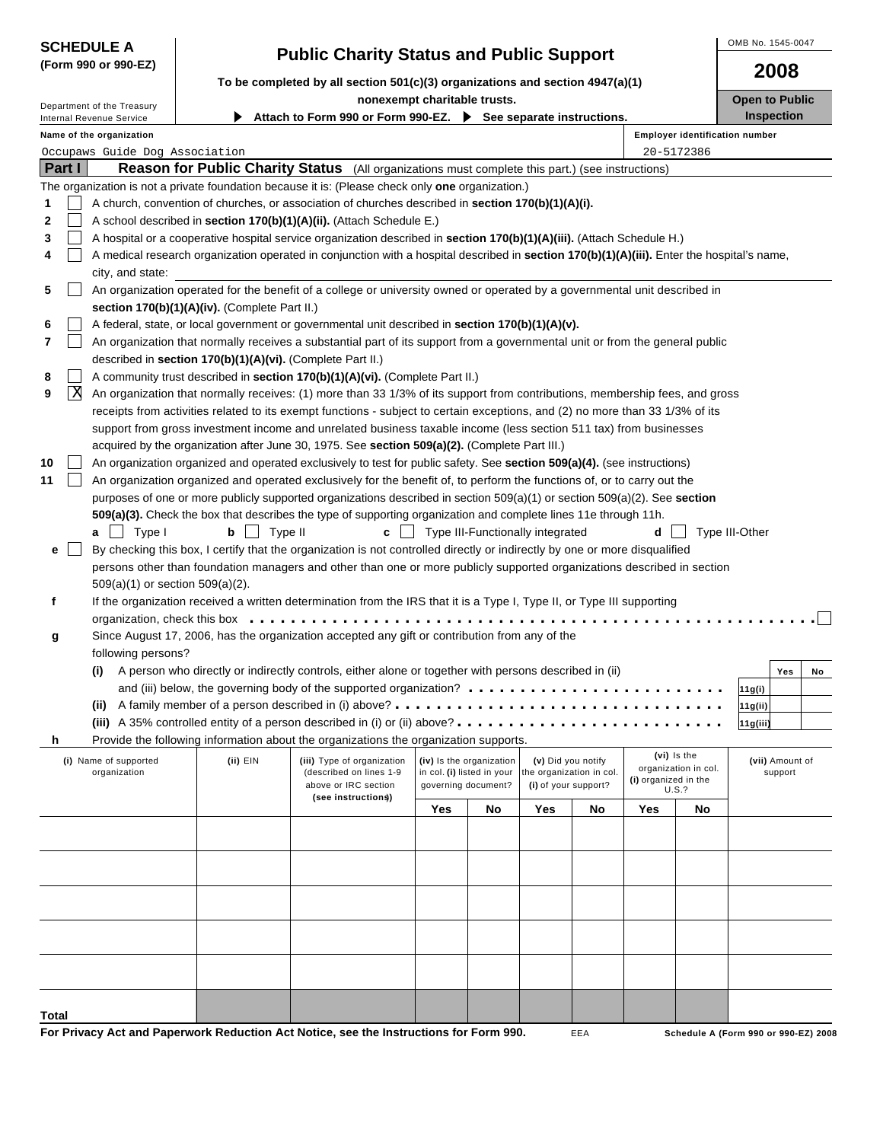|                                                                                                                                                              | <b>SCHEDULE A</b>                    |                                                            |                                                                                                                                                                                                                                                              |     |                                  |     |                          |                      |                                       | OMB No. 1545-0047     |                 |    |
|--------------------------------------------------------------------------------------------------------------------------------------------------------------|--------------------------------------|------------------------------------------------------------|--------------------------------------------------------------------------------------------------------------------------------------------------------------------------------------------------------------------------------------------------------------|-----|----------------------------------|-----|--------------------------|----------------------|---------------------------------------|-----------------------|-----------------|----|
| <b>Public Charity Status and Public Support</b><br>(Form 990 or 990-EZ)<br>To be completed by all section $501(c)(3)$ organizations and section $4947(a)(1)$ |                                      |                                                            |                                                                                                                                                                                                                                                              |     |                                  |     |                          | 2008                 |                                       |                       |                 |    |
|                                                                                                                                                              |                                      |                                                            | nonexempt charitable trusts.                                                                                                                                                                                                                                 |     |                                  |     |                          |                      |                                       | <b>Open to Public</b> |                 |    |
| Department of the Treasury<br>Attach to Form 990 or Form 990-EZ. ▶ See separate instructions.<br>Internal Revenue Service                                    |                                      |                                                            |                                                                                                                                                                                                                                                              |     |                                  |     |                          | Inspection           |                                       |                       |                 |    |
|                                                                                                                                                              | Name of the organization             |                                                            |                                                                                                                                                                                                                                                              |     |                                  |     |                          |                      | <b>Employer identification number</b> |                       |                 |    |
|                                                                                                                                                              | Occupaws Guide Dog Association       |                                                            |                                                                                                                                                                                                                                                              |     |                                  |     |                          |                      | 20-5172386                            |                       |                 |    |
| Part I                                                                                                                                                       |                                      |                                                            | Reason for Public Charity Status (All organizations must complete this part.) (see instructions)                                                                                                                                                             |     |                                  |     |                          |                      |                                       |                       |                 |    |
|                                                                                                                                                              |                                      |                                                            | The organization is not a private foundation because it is: (Please check only one organization.)                                                                                                                                                            |     |                                  |     |                          |                      |                                       |                       |                 |    |
| 1                                                                                                                                                            |                                      |                                                            | A church, convention of churches, or association of churches described in section 170(b)(1)(A)(i).                                                                                                                                                           |     |                                  |     |                          |                      |                                       |                       |                 |    |
| 2<br>3                                                                                                                                                       |                                      |                                                            | A school described in section 170(b)(1)(A)(ii). (Attach Schedule E.)<br>A hospital or a cooperative hospital service organization described in section 170(b)(1)(A)(iii). (Attach Schedule H.)                                                               |     |                                  |     |                          |                      |                                       |                       |                 |    |
| 4                                                                                                                                                            |                                      |                                                            | A medical research organization operated in conjunction with a hospital described in section 170(b)(1)(A)(iii). Enter the hospital's name,                                                                                                                   |     |                                  |     |                          |                      |                                       |                       |                 |    |
|                                                                                                                                                              | city, and state:                     |                                                            |                                                                                                                                                                                                                                                              |     |                                  |     |                          |                      |                                       |                       |                 |    |
| 5                                                                                                                                                            |                                      |                                                            | An organization operated for the benefit of a college or university owned or operated by a governmental unit described in                                                                                                                                    |     |                                  |     |                          |                      |                                       |                       |                 |    |
|                                                                                                                                                              |                                      | section 170(b)(1)(A)(iv). (Complete Part II.)              |                                                                                                                                                                                                                                                              |     |                                  |     |                          |                      |                                       |                       |                 |    |
| 6                                                                                                                                                            |                                      |                                                            | A federal, state, or local government or governmental unit described in section 170(b)(1)(A)(v).                                                                                                                                                             |     |                                  |     |                          |                      |                                       |                       |                 |    |
| 7                                                                                                                                                            |                                      |                                                            | An organization that normally receives a substantial part of its support from a governmental unit or from the general public                                                                                                                                 |     |                                  |     |                          |                      |                                       |                       |                 |    |
|                                                                                                                                                              |                                      | described in section 170(b)(1)(A)(vi). (Complete Part II.) |                                                                                                                                                                                                                                                              |     |                                  |     |                          |                      |                                       |                       |                 |    |
| 8                                                                                                                                                            | <u>X</u>                             |                                                            | A community trust described in section 170(b)(1)(A)(vi). (Complete Part II.)                                                                                                                                                                                 |     |                                  |     |                          |                      |                                       |                       |                 |    |
| 9                                                                                                                                                            |                                      |                                                            | An organization that normally receives: (1) more than 33 1/3% of its support from contributions, membership fees, and gross<br>receipts from activities related to its exempt functions - subject to certain exceptions, and (2) no more than 33 1/3% of its |     |                                  |     |                          |                      |                                       |                       |                 |    |
|                                                                                                                                                              |                                      |                                                            | support from gross investment income and unrelated business taxable income (less section 511 tax) from businesses                                                                                                                                            |     |                                  |     |                          |                      |                                       |                       |                 |    |
|                                                                                                                                                              |                                      |                                                            | acquired by the organization after June 30, 1975. See section 509(a)(2). (Complete Part III.)                                                                                                                                                                |     |                                  |     |                          |                      |                                       |                       |                 |    |
| 10                                                                                                                                                           |                                      |                                                            | An organization organized and operated exclusively to test for public safety. See section 509(a)(4). (see instructions)                                                                                                                                      |     |                                  |     |                          |                      |                                       |                       |                 |    |
| 11                                                                                                                                                           |                                      |                                                            | An organization organized and operated exclusively for the benefit of, to perform the functions of, or to carry out the                                                                                                                                      |     |                                  |     |                          |                      |                                       |                       |                 |    |
|                                                                                                                                                              |                                      |                                                            | purposes of one or more publicly supported organizations described in section $509(a)(1)$ or section $509(a)(2)$ . See section                                                                                                                               |     |                                  |     |                          |                      |                                       |                       |                 |    |
|                                                                                                                                                              |                                      |                                                            | 509(a)(3). Check the box that describes the type of supporting organization and complete lines 11e through 11h.                                                                                                                                              |     |                                  |     |                          |                      |                                       |                       |                 |    |
|                                                                                                                                                              | $\Box$ Type I<br>a                   | b<br>Type II                                               | $c \mid \cdot$<br>By checking this box, I certify that the organization is not controlled directly or indirectly by one or more disqualified                                                                                                                 |     | Type III-Functionally integrated |     |                          | d                    |                                       | Type III-Other        |                 |    |
| е                                                                                                                                                            |                                      |                                                            | persons other than foundation managers and other than one or more publicly supported organizations described in section                                                                                                                                      |     |                                  |     |                          |                      |                                       |                       |                 |    |
|                                                                                                                                                              | $509(a)(1)$ or section $509(a)(2)$ . |                                                            |                                                                                                                                                                                                                                                              |     |                                  |     |                          |                      |                                       |                       |                 |    |
| f                                                                                                                                                            |                                      |                                                            | If the organization received a written determination from the IRS that it is a Type I, Type II, or Type III supporting                                                                                                                                       |     |                                  |     |                          |                      |                                       |                       |                 |    |
|                                                                                                                                                              |                                      | organization, check this box                               |                                                                                                                                                                                                                                                              |     |                                  |     |                          |                      |                                       |                       |                 |    |
| g                                                                                                                                                            |                                      |                                                            | Since August 17, 2006, has the organization accepted any gift or contribution from any of the                                                                                                                                                                |     |                                  |     |                          |                      |                                       |                       |                 |    |
|                                                                                                                                                              | following persons?                   |                                                            |                                                                                                                                                                                                                                                              |     |                                  |     |                          |                      |                                       |                       |                 |    |
|                                                                                                                                                              | (i)                                  |                                                            | A person who directly or indirectly controls, either alone or together with persons described in (ii)                                                                                                                                                        |     |                                  |     |                          |                      |                                       |                       | Yes             | No |
|                                                                                                                                                              | (ii)                                 |                                                            | and (iii) below, the governing body of the supported organization?<br>A family member of a person described in (i) above?                                                                                                                                    |     |                                  |     |                          |                      |                                       | 11g(i)                |                 |    |
|                                                                                                                                                              |                                      |                                                            | (iii) A 35% controlled entity of a person described in (i) or (ii) above? $\cdots$ $\cdots$ $\cdots$                                                                                                                                                         |     |                                  |     |                          |                      |                                       | 11g(ii)<br>11g(iii)   |                 |    |
| h                                                                                                                                                            |                                      |                                                            | Provide the following information about the organizations the organization supports.                                                                                                                                                                         |     |                                  |     |                          |                      |                                       |                       |                 |    |
|                                                                                                                                                              | (i) Name of supported                | (ii) EIN                                                   | (iii) Type of organization                                                                                                                                                                                                                                   |     | (iv) Is the organization         |     | (v) Did you notify       |                      | (vi) Is the                           |                       | (vii) Amount of |    |
|                                                                                                                                                              | organization                         |                                                            | (described on lines 1-9                                                                                                                                                                                                                                      |     | in col. (i) listed in your       |     | the organization in col. | (i) organized in the | organization in col.                  |                       | support         |    |
|                                                                                                                                                              |                                      |                                                            | above or IRC section<br>(see instructions)                                                                                                                                                                                                                   |     | governing document?              |     | (i) of your support?     |                      | U.S.?                                 |                       |                 |    |
|                                                                                                                                                              |                                      |                                                            |                                                                                                                                                                                                                                                              | Yes | No                               | Yes | No                       | Yes                  | No                                    |                       |                 |    |
|                                                                                                                                                              |                                      |                                                            |                                                                                                                                                                                                                                                              |     |                                  |     |                          |                      |                                       |                       |                 |    |
|                                                                                                                                                              |                                      |                                                            |                                                                                                                                                                                                                                                              |     |                                  |     |                          |                      |                                       |                       |                 |    |
|                                                                                                                                                              |                                      |                                                            |                                                                                                                                                                                                                                                              |     |                                  |     |                          |                      |                                       |                       |                 |    |
|                                                                                                                                                              |                                      |                                                            |                                                                                                                                                                                                                                                              |     |                                  |     |                          |                      |                                       |                       |                 |    |
|                                                                                                                                                              |                                      |                                                            |                                                                                                                                                                                                                                                              |     |                                  |     |                          |                      |                                       |                       |                 |    |
|                                                                                                                                                              |                                      |                                                            |                                                                                                                                                                                                                                                              |     |                                  |     |                          |                      |                                       |                       |                 |    |
|                                                                                                                                                              |                                      |                                                            |                                                                                                                                                                                                                                                              |     |                                  |     |                          |                      |                                       |                       |                 |    |
|                                                                                                                                                              |                                      |                                                            |                                                                                                                                                                                                                                                              |     |                                  |     |                          |                      |                                       |                       |                 |    |
|                                                                                                                                                              |                                      |                                                            |                                                                                                                                                                                                                                                              |     |                                  |     |                          |                      |                                       |                       |                 |    |
| Total                                                                                                                                                        |                                      |                                                            |                                                                                                                                                                                                                                                              |     |                                  |     |                          |                      |                                       |                       |                 |    |

**For Privacy Act and Paperwork Reduction Act Notice, see the Instructions for Form 990.**

**Schedule A (Form 990 or 990-EZ) 2008**

EEA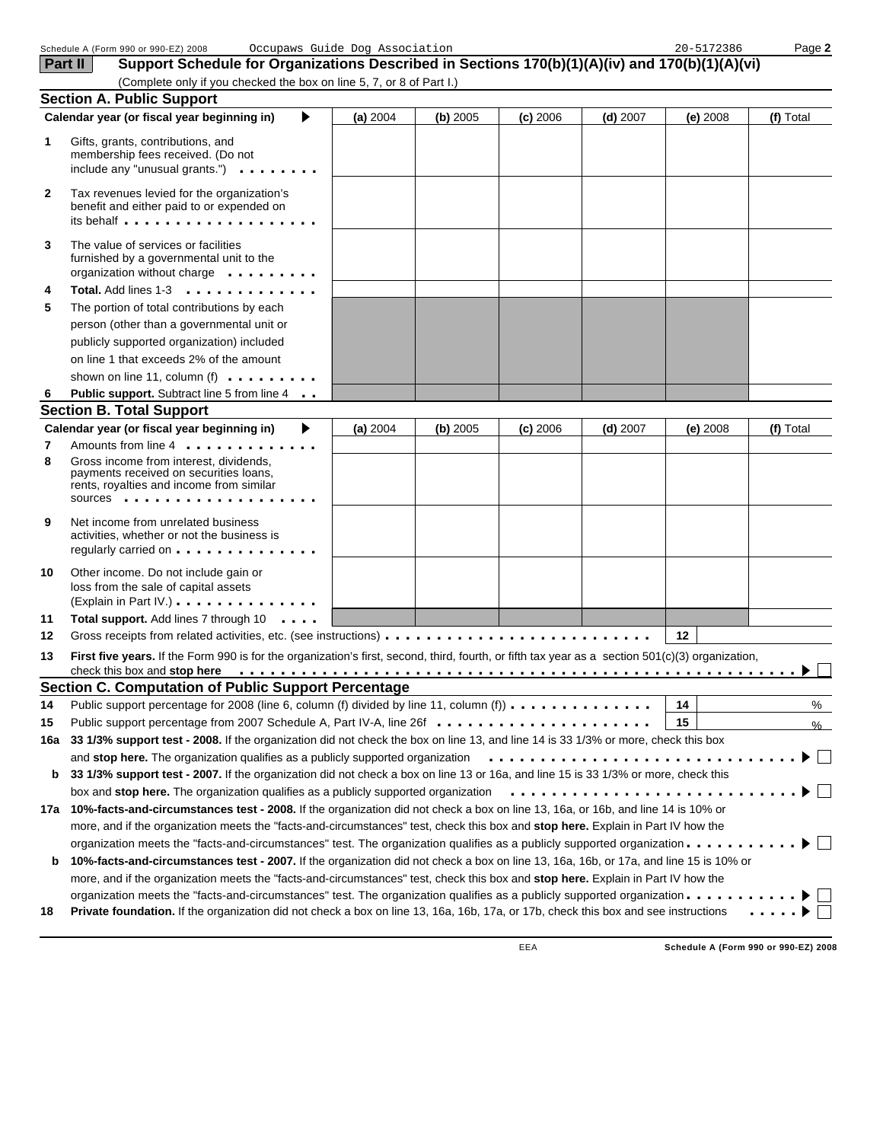|     | Schedule A (Form 990 or 990-EZ) 2008                                                                                                                                                                                                                                                                  | Occupaws Guide Dog Association |          |          |            | 20-5172386 | Page 2    |
|-----|-------------------------------------------------------------------------------------------------------------------------------------------------------------------------------------------------------------------------------------------------------------------------------------------------------|--------------------------------|----------|----------|------------|------------|-----------|
|     | Support Schedule for Organizations Described in Sections 170(b)(1)(A)(iv) and 170(b)(1)(A)(vi)<br>Part II                                                                                                                                                                                             |                                |          |          |            |            |           |
|     | (Complete only if you checked the box on line 5, 7, or 8 of Part I.)                                                                                                                                                                                                                                  |                                |          |          |            |            |           |
|     | <b>Section A. Public Support</b>                                                                                                                                                                                                                                                                      |                                |          |          |            |            |           |
|     | Calendar year (or fiscal year beginning in)                                                                                                                                                                                                                                                           | (a) 2004                       | (b) 2005 | (c) 2006 | $(d)$ 2007 | $(e)$ 2008 | (f) Total |
| 1   | Gifts, grants, contributions, and<br>membership fees received. (Do not<br>include any "unusual grants.") $\cdots$                                                                                                                                                                                     |                                |          |          |            |            |           |
| 2   | Tax revenues levied for the organization's<br>benefit and either paid to or expended on                                                                                                                                                                                                               |                                |          |          |            |            |           |
| 3   | The value of services or facilities<br>furnished by a governmental unit to the<br>organization without charge                                                                                                                                                                                         |                                |          |          |            |            |           |
| 4   | Total. Add lines 1-3                                                                                                                                                                                                                                                                                  |                                |          |          |            |            |           |
| 5   | The portion of total contributions by each                                                                                                                                                                                                                                                            |                                |          |          |            |            |           |
|     | person (other than a governmental unit or                                                                                                                                                                                                                                                             |                                |          |          |            |            |           |
|     | publicly supported organization) included                                                                                                                                                                                                                                                             |                                |          |          |            |            |           |
|     | on line 1 that exceeds 2% of the amount                                                                                                                                                                                                                                                               |                                |          |          |            |            |           |
|     | shown on line 11, column (f) $\bullet \bullet \bullet \bullet \bullet \bullet \bullet \bullet \bullet$                                                                                                                                                                                                |                                |          |          |            |            |           |
| 6   | <b>Public support.</b> Subtract line 5 from line 4                                                                                                                                                                                                                                                    |                                |          |          |            |            |           |
|     | <b>Section B. Total Support</b>                                                                                                                                                                                                                                                                       |                                |          |          |            |            |           |
|     | Calendar year (or fiscal year beginning in)                                                                                                                                                                                                                                                           | (a) 2004                       | (b) 2005 | (c) 2006 | (d) $2007$ | $(e)$ 2008 | (f) Total |
| 7   | Amounts from line $4 \cdot \cdot \cdot \cdot \cdot$                                                                                                                                                                                                                                                   |                                |          |          |            |            |           |
| 8   | Gross income from interest, dividends,<br>payments received on securities loans,<br>rents, royalties and income from similar<br>sources $\cdots$                                                                                                                                                      |                                |          |          |            |            |           |
| 9   | Net income from unrelated business<br>activities, whether or not the business is<br>regularly carried on                                                                                                                                                                                              |                                |          |          |            |            |           |
| 10  | Other income. Do not include gain or<br>loss from the sale of capital assets<br>(Explain in Part IV.)                                                                                                                                                                                                 |                                |          |          |            |            |           |
| 11  | Total support. Add lines 7 through 10                                                                                                                                                                                                                                                                 |                                |          |          |            |            |           |
| 12  |                                                                                                                                                                                                                                                                                                       |                                |          |          |            | 12         |           |
| 13  | First five years. If the Form 990 is for the organization's first, second, third, fourth, or fifth tax year as a section 501(c)(3) organization,<br>check this box and stop here <b>experience of the context of the context</b> of the check this box and stop here <b>experience of the context</b> |                                |          |          |            |            |           |
|     | <b>Section C. Computation of Public Support Percentage</b>                                                                                                                                                                                                                                            |                                |          |          |            |            |           |
| 14  | Public support percentage for 2008 (line 6, column (f) divided by line 11, column (f)) $\cdots$ $\cdots$ $\cdots$ $\cdots$ $\cdots$                                                                                                                                                                   |                                |          |          |            | 14         | ℅         |
| 15  | Public support percentage from 2007 Schedule A, Part IV-A, line 26f                                                                                                                                                                                                                                   |                                |          |          |            | 15         | %         |
| 16a | 33 1/3% support test - 2008. If the organization did not check the box on line 13, and line 14 is 33 1/3% or more, check this box                                                                                                                                                                     |                                |          |          |            |            |           |
|     | and stop here. The organization qualifies as a publicly supported organization                                                                                                                                                                                                                        |                                |          |          |            |            |           |
| b   | 33 1/3% support test - 2007. If the organization did not check a box on line 13 or 16a, and line 15 is 33 1/3% or more, check this                                                                                                                                                                    |                                |          |          |            |            |           |
|     | box and stop here. The organization qualifies as a publicly supported organization                                                                                                                                                                                                                    |                                |          |          |            |            |           |
|     | 17a 10%-facts-and-circumstances test - 2008. If the organization did not check a box on line 13, 16a, or 16b, and line 14 is 10% or                                                                                                                                                                   |                                |          |          |            |            |           |
|     | more, and if the organization meets the "facts-and-circumstances" test, check this box and stop here. Explain in Part IV how the                                                                                                                                                                      |                                |          |          |            |            |           |
|     | organization meets the "facts-and-circumstances" test. The organization qualifies as a publicly supported organization                                                                                                                                                                                |                                |          |          |            |            |           |
| b   | 10%-facts-and-circumstances test - 2007. If the organization did not check a box on line 13, 16a, 16b, or 17a, and line 15 is 10% or                                                                                                                                                                  |                                |          |          |            |            |           |
|     | more, and if the organization meets the "facts-and-circumstances" test, check this box and stop here. Explain in Part IV how the                                                                                                                                                                      |                                |          |          |            |            |           |
| 18  | organization meets the "facts-and-circumstances" test. The organization qualifies as a publicly supported organization<br>Private foundation. If the organization did not check a box on line 13, 16a, 16b, 17a, or 17b, check this box and see instructions                                          |                                |          |          |            |            |           |

**Schedule A (Form 990 or 990-EZ) 2008**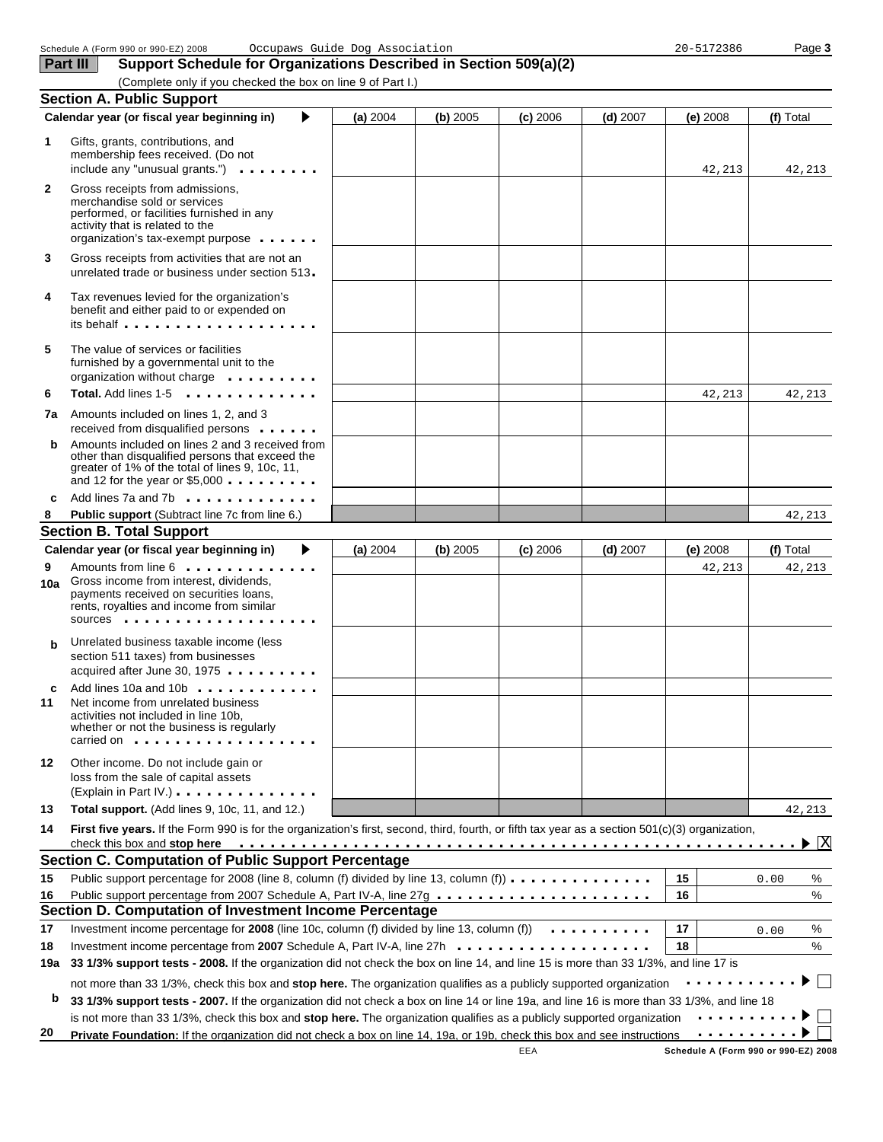#### **Part III Support Schedule for Organizations Described in Section 509(a)(2) Section A. Public Support Section B. Total Support Section C. Computation of Public Support Percentage Section D. Computation of Investment Income Percentage 1 2 3 4 5 6 7a b c** Add lines 7a and 7b **............. 8 9 10a** Gross income from interest, dividends, **b** Unrelated business taxable income (less **c** Add lines 10a and 10b **............ 11 12 13 14** 15 Public support percentage for 2008 (line 8, column (f) divided by line 13, column (f)) **.....................** 15 **15** 10:00 % 16 Public support percentage from 2007 Schedule A, Part IV-A, line 27g **.....................** 16 | **17** Investment income percentage for 2008 (line 10c, column (f) divided by line 13, column (f))  $\cdots \cdots \cdots \cdots$  | 17 | 0.00 % 18 Investment income percentage from 2007 Schedule A, Part IV-A, line 27h  $\cdots \cdots \cdots \cdots \cdots \cdots$  18 **19a 33 1/3% support tests - 2008.** If the organization did not check the box on line 14, and line 15 is more than 33 1/3%, and line 17 is **b 33 1/3% support tests - 2007.** If the organization did not check a box on line 14 or line 19a, and line 16 is more than 33 1/3%, and line 18 **20** (Complete only if you checked the box on line 9 of Part I.) **Calendar year (or fiscal year beginning in) (a)** 2004 **(b)** 2005 **(c)** 2006 **(d)** 2007 **(e)** 2008 **(f)** Total Gifts, grants, contributions, and membership fees received. (Do not include any "unusual grants.") •• Gross receipts from admissions, merchandise sold or services performed, or facilities furnished in any activity that is related to the organization's tax-exempt purpose **.....** Gross receipts from activities that are not an unrelated trade or business under section 513 **.** Tax revenues levied for the organization's benefit and either paid to or expended on its behalf **...................** The value of services or facilities furnished by a governmental unit to the organization without charge **......... Total.** Add lines 1-5 **.............** Amounts included on lines 1, 2, and 3 received from disqualified persons **......** Amounts included on lines 2 and 3 received from other than disqualified persons that exceed the greater of 1% of the total of lines 9, 10c, 11, and 12 for the year or \$5,000 **. . . . . . . . . Public support** (Subtract line 7c from line 6.) **Calendar year (or fiscal year beginning in) (a)** 2004 **(b)** 2005 **(c)** 2006 **(d)** 2007 **(e)** 2008 **(f)** Total Amounts from line 6 **............** payments received on securities loans, rents, royalties and income from similar sources **...................** section 511 taxes) from businesses acquired after June 30, 1975 **.........** Net income from unrelated business activities not included in line 10b, whether or not the business is regularly **Carried on .....................** Other income. Do not include gain or loss from the sale of capital assets (Explain in Part IV.) **.............. Total support.** (Add lines 9, 10c, 11, and 12.) First five years. If the Form 990 is for the organization's first, second, third, fourth, or fifth tax year as a section 501(c)(3) organization, check this box and **stop here ......................................................** not more than 33 1/3%, check this box and **stop here.** The organization qualifies as a publicly supported organization **...........** is not more than 33 1/3%, check this box and **stop here.** The organization qualifies as a publicly supported organization  $\cdots$ ..... **Private Foundation:** If the organization did not check a box on line 14, 19a, or 19b, check this box and see instructions **........ .......... ..........** 42,213 42,213 42,213 42,213 42,213 42,213 42,213 42,213  $\blacktriangleright$   $\triangleright$ 0.00 0.00

Occupaws Guide Dog Association 20-5172386

Schedule A (Form 990 or 990-EZ) 2008

**Schedule A (Form 990 or 990-EZ) 2008**

Page **3**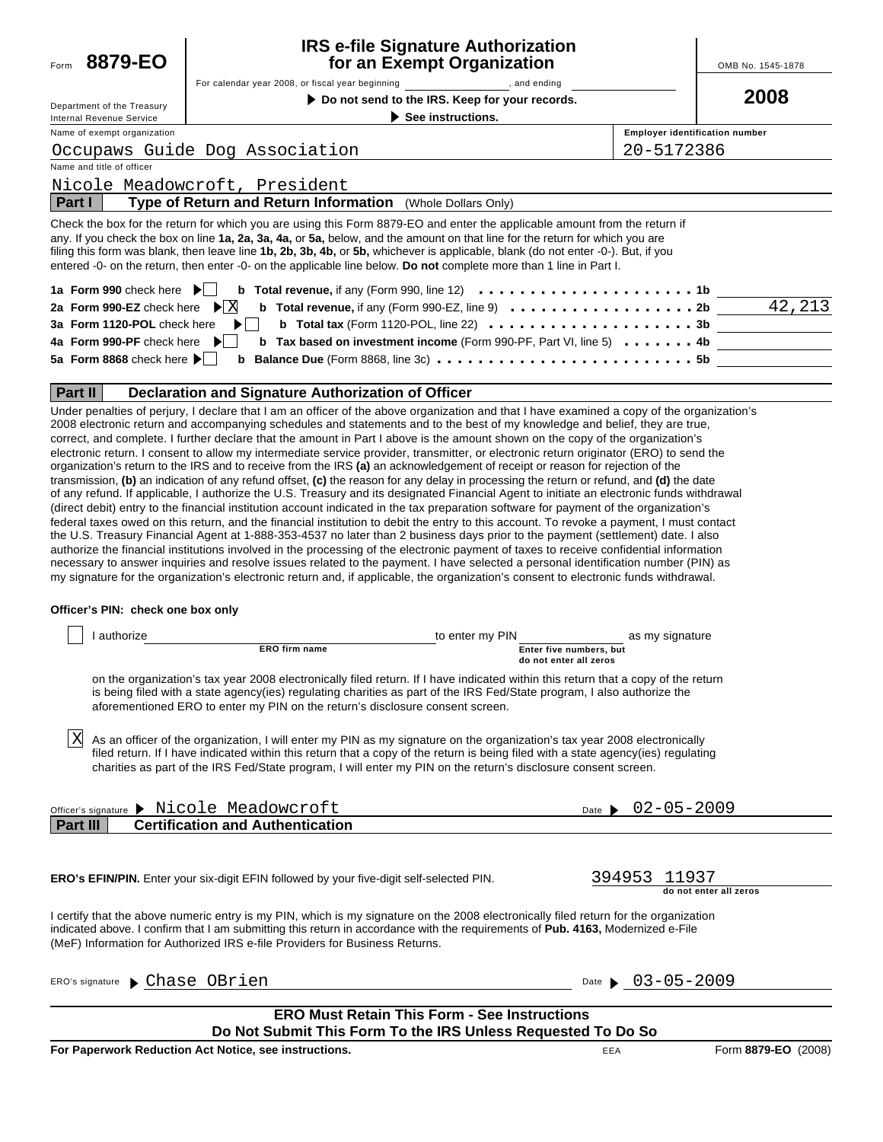| 8879-EO<br>Form                                                                                                                                     | For calendar year 2008, or fiscal year beginning example and ending state and ending                                                                                                                                                                                                                                                                                                                                                                                                                                                                                                                                                                                                                                                                                                                                                                                                                                                                                                                                                                                                                                                                                                                                                                                                                                                                                                                                                                                                                                                                                                                                                                                              | <b>IRS e-file Signature Authorization</b><br>for an Exempt Organization                       |                                                                      | OMB No. 1545-1878                     |
|-----------------------------------------------------------------------------------------------------------------------------------------------------|-----------------------------------------------------------------------------------------------------------------------------------------------------------------------------------------------------------------------------------------------------------------------------------------------------------------------------------------------------------------------------------------------------------------------------------------------------------------------------------------------------------------------------------------------------------------------------------------------------------------------------------------------------------------------------------------------------------------------------------------------------------------------------------------------------------------------------------------------------------------------------------------------------------------------------------------------------------------------------------------------------------------------------------------------------------------------------------------------------------------------------------------------------------------------------------------------------------------------------------------------------------------------------------------------------------------------------------------------------------------------------------------------------------------------------------------------------------------------------------------------------------------------------------------------------------------------------------------------------------------------------------------------------------------------------------|-----------------------------------------------------------------------------------------------|----------------------------------------------------------------------|---------------------------------------|
| Do not send to the IRS. Keep for your records.<br>Department of the Treasury<br>$\blacktriangleright$ See instructions.<br>Internal Revenue Service |                                                                                                                                                                                                                                                                                                                                                                                                                                                                                                                                                                                                                                                                                                                                                                                                                                                                                                                                                                                                                                                                                                                                                                                                                                                                                                                                                                                                                                                                                                                                                                                                                                                                                   |                                                                                               |                                                                      |                                       |
| Name of exempt organization<br>Name and title of officer                                                                                            | Occupaws Guide Dog Association                                                                                                                                                                                                                                                                                                                                                                                                                                                                                                                                                                                                                                                                                                                                                                                                                                                                                                                                                                                                                                                                                                                                                                                                                                                                                                                                                                                                                                                                                                                                                                                                                                                    |                                                                                               | 20-5172386                                                           | <b>Employer identification number</b> |
|                                                                                                                                                     | Nicole Meadowcroft, President                                                                                                                                                                                                                                                                                                                                                                                                                                                                                                                                                                                                                                                                                                                                                                                                                                                                                                                                                                                                                                                                                                                                                                                                                                                                                                                                                                                                                                                                                                                                                                                                                                                     |                                                                                               |                                                                      |                                       |
| Part I                                                                                                                                              | Type of Return and Return Information (Whole Dollars Only)                                                                                                                                                                                                                                                                                                                                                                                                                                                                                                                                                                                                                                                                                                                                                                                                                                                                                                                                                                                                                                                                                                                                                                                                                                                                                                                                                                                                                                                                                                                                                                                                                        |                                                                                               |                                                                      |                                       |
|                                                                                                                                                     | Check the box for the return for which you are using this Form 8879-EO and enter the applicable amount from the return if<br>any. If you check the box on line 1a, 2a, 3a, 4a, or 5a, below, and the amount on that line for the return for which you are<br>filing this form was blank, then leave line 1b, 2b, 3b, 4b, or 5b, whichever is applicable, blank (do not enter -0-). But, if you<br>entered -0- on the return, then enter -0- on the applicable line below. Do not complete more than 1 line in Part I.                                                                                                                                                                                                                                                                                                                                                                                                                                                                                                                                                                                                                                                                                                                                                                                                                                                                                                                                                                                                                                                                                                                                                             |                                                                                               |                                                                      |                                       |
| 1a Form 990 check here ▶                                                                                                                            |                                                                                                                                                                                                                                                                                                                                                                                                                                                                                                                                                                                                                                                                                                                                                                                                                                                                                                                                                                                                                                                                                                                                                                                                                                                                                                                                                                                                                                                                                                                                                                                                                                                                                   |                                                                                               |                                                                      |                                       |
| 2a Form 990-EZ check here                                                                                                                           | ▶∣X                                                                                                                                                                                                                                                                                                                                                                                                                                                                                                                                                                                                                                                                                                                                                                                                                                                                                                                                                                                                                                                                                                                                                                                                                                                                                                                                                                                                                                                                                                                                                                                                                                                                               | <b>b</b> Total revenue, if any (Form 990-EZ, line 9) <b></b> 2b                               |                                                                      | 42,213                                |
| 3a Form 1120-POL check here<br>4a Form 990-PF check here                                                                                            |                                                                                                                                                                                                                                                                                                                                                                                                                                                                                                                                                                                                                                                                                                                                                                                                                                                                                                                                                                                                                                                                                                                                                                                                                                                                                                                                                                                                                                                                                                                                                                                                                                                                                   | <b>b</b> Tax based on investment income (Form 990-PF, Part VI, line 5) $\cdots \cdots \cdots$ |                                                                      |                                       |
| 5a Form 8868 check here $\blacktriangleright$                                                                                                       |                                                                                                                                                                                                                                                                                                                                                                                                                                                                                                                                                                                                                                                                                                                                                                                                                                                                                                                                                                                                                                                                                                                                                                                                                                                                                                                                                                                                                                                                                                                                                                                                                                                                                   |                                                                                               |                                                                      |                                       |
|                                                                                                                                                     |                                                                                                                                                                                                                                                                                                                                                                                                                                                                                                                                                                                                                                                                                                                                                                                                                                                                                                                                                                                                                                                                                                                                                                                                                                                                                                                                                                                                                                                                                                                                                                                                                                                                                   |                                                                                               |                                                                      |                                       |
| Part II                                                                                                                                             | Declaration and Signature Authorization of Officer                                                                                                                                                                                                                                                                                                                                                                                                                                                                                                                                                                                                                                                                                                                                                                                                                                                                                                                                                                                                                                                                                                                                                                                                                                                                                                                                                                                                                                                                                                                                                                                                                                |                                                                                               |                                                                      |                                       |
|                                                                                                                                                     | 2008 electronic return and accompanying schedules and statements and to the best of my knowledge and belief, they are true,<br>correct, and complete. I further declare that the amount in Part I above is the amount shown on the copy of the organization's<br>electronic return. I consent to allow my intermediate service provider, transmitter, or electronic return originator (ERO) to send the<br>organization's return to the IRS and to receive from the IRS (a) an acknowledgement of receipt or reason for rejection of the<br>transmission, (b) an indication of any refund offset, (c) the reason for any delay in processing the return or refund, and (d) the date<br>of any refund. If applicable, I authorize the U.S. Treasury and its designated Financial Agent to initiate an electronic funds withdrawal<br>(direct debit) entry to the financial institution account indicated in the tax preparation software for payment of the organization's<br>federal taxes owed on this return, and the financial institution to debit the entry to this account. To revoke a payment, I must contact<br>the U.S. Treasury Financial Agent at 1-888-353-4537 no later than 2 business days prior to the payment (settlement) date. I also<br>authorize the financial institutions involved in the processing of the electronic payment of taxes to receive confidential information<br>necessary to answer inquiries and resolve issues related to the payment. I have selected a personal identification number (PIN) as<br>my signature for the organization's electronic return and, if applicable, the organization's consent to electronic funds withdrawal. |                                                                                               |                                                                      |                                       |
| Officer's PIN: check one box only                                                                                                                   |                                                                                                                                                                                                                                                                                                                                                                                                                                                                                                                                                                                                                                                                                                                                                                                                                                                                                                                                                                                                                                                                                                                                                                                                                                                                                                                                                                                                                                                                                                                                                                                                                                                                                   |                                                                                               |                                                                      |                                       |
| authorize                                                                                                                                           | ERO firm name                                                                                                                                                                                                                                                                                                                                                                                                                                                                                                                                                                                                                                                                                                                                                                                                                                                                                                                                                                                                                                                                                                                                                                                                                                                                                                                                                                                                                                                                                                                                                                                                                                                                     | to enter my PIN                                                                               | as my signature<br>Enter five numbers, but<br>do not enter all zeros |                                       |
|                                                                                                                                                     | on the organization's tax year 2008 electronically filed return. If I have indicated within this return that a copy of the return<br>is being filed with a state agency(ies) regulating charities as part of the IRS Fed/State program, I also authorize the<br>aforementioned ERO to enter my PIN on the return's disclosure consent screen.                                                                                                                                                                                                                                                                                                                                                                                                                                                                                                                                                                                                                                                                                                                                                                                                                                                                                                                                                                                                                                                                                                                                                                                                                                                                                                                                     |                                                                                               |                                                                      |                                       |
| Χ                                                                                                                                                   | As an officer of the organization, I will enter my PIN as my signature on the organization's tax year 2008 electronically<br>filed return. If I have indicated within this return that a copy of the return is being filed with a state agency(ies) regulating<br>charities as part of the IRS Fed/State program, I will enter my PIN on the return's disclosure consent screen.                                                                                                                                                                                                                                                                                                                                                                                                                                                                                                                                                                                                                                                                                                                                                                                                                                                                                                                                                                                                                                                                                                                                                                                                                                                                                                  |                                                                                               |                                                                      |                                       |
|                                                                                                                                                     | Officer's signature > Nicole Meadowcroft                                                                                                                                                                                                                                                                                                                                                                                                                                                                                                                                                                                                                                                                                                                                                                                                                                                                                                                                                                                                                                                                                                                                                                                                                                                                                                                                                                                                                                                                                                                                                                                                                                          |                                                                                               | Date $\triangleright$ 02-05-2009                                     |                                       |
| Part III                                                                                                                                            | <b>Certification and Authentication</b>                                                                                                                                                                                                                                                                                                                                                                                                                                                                                                                                                                                                                                                                                                                                                                                                                                                                                                                                                                                                                                                                                                                                                                                                                                                                                                                                                                                                                                                                                                                                                                                                                                           |                                                                                               |                                                                      |                                       |
|                                                                                                                                                     | ERO's EFIN/PIN. Enter your six-digit EFIN followed by your five-digit self-selected PIN.                                                                                                                                                                                                                                                                                                                                                                                                                                                                                                                                                                                                                                                                                                                                                                                                                                                                                                                                                                                                                                                                                                                                                                                                                                                                                                                                                                                                                                                                                                                                                                                          |                                                                                               | 394953 11937                                                         | do not enter all zeros                |
|                                                                                                                                                     | I certify that the above numeric entry is my PIN, which is my signature on the 2008 electronically filed return for the organization<br>indicated above. I confirm that I am submitting this return in accordance with the requirements of Pub. 4163, Modernized e-File<br>(MeF) Information for Authorized IRS e-file Providers for Business Returns.                                                                                                                                                                                                                                                                                                                                                                                                                                                                                                                                                                                                                                                                                                                                                                                                                                                                                                                                                                                                                                                                                                                                                                                                                                                                                                                            |                                                                                               |                                                                      |                                       |
| ERO's signature                                                                                                                                     | ▶ Chase OBrien                                                                                                                                                                                                                                                                                                                                                                                                                                                                                                                                                                                                                                                                                                                                                                                                                                                                                                                                                                                                                                                                                                                                                                                                                                                                                                                                                                                                                                                                                                                                                                                                                                                                    |                                                                                               | Date $\triangleright$ 03-05-2009                                     |                                       |
|                                                                                                                                                     |                                                                                                                                                                                                                                                                                                                                                                                                                                                                                                                                                                                                                                                                                                                                                                                                                                                                                                                                                                                                                                                                                                                                                                                                                                                                                                                                                                                                                                                                                                                                                                                                                                                                                   |                                                                                               |                                                                      |                                       |
|                                                                                                                                                     | Do Not Submit This Form To the IRS Unless Requested To Do So                                                                                                                                                                                                                                                                                                                                                                                                                                                                                                                                                                                                                                                                                                                                                                                                                                                                                                                                                                                                                                                                                                                                                                                                                                                                                                                                                                                                                                                                                                                                                                                                                      | <b>ERO Must Retain This Form - See Instructions</b>                                           |                                                                      |                                       |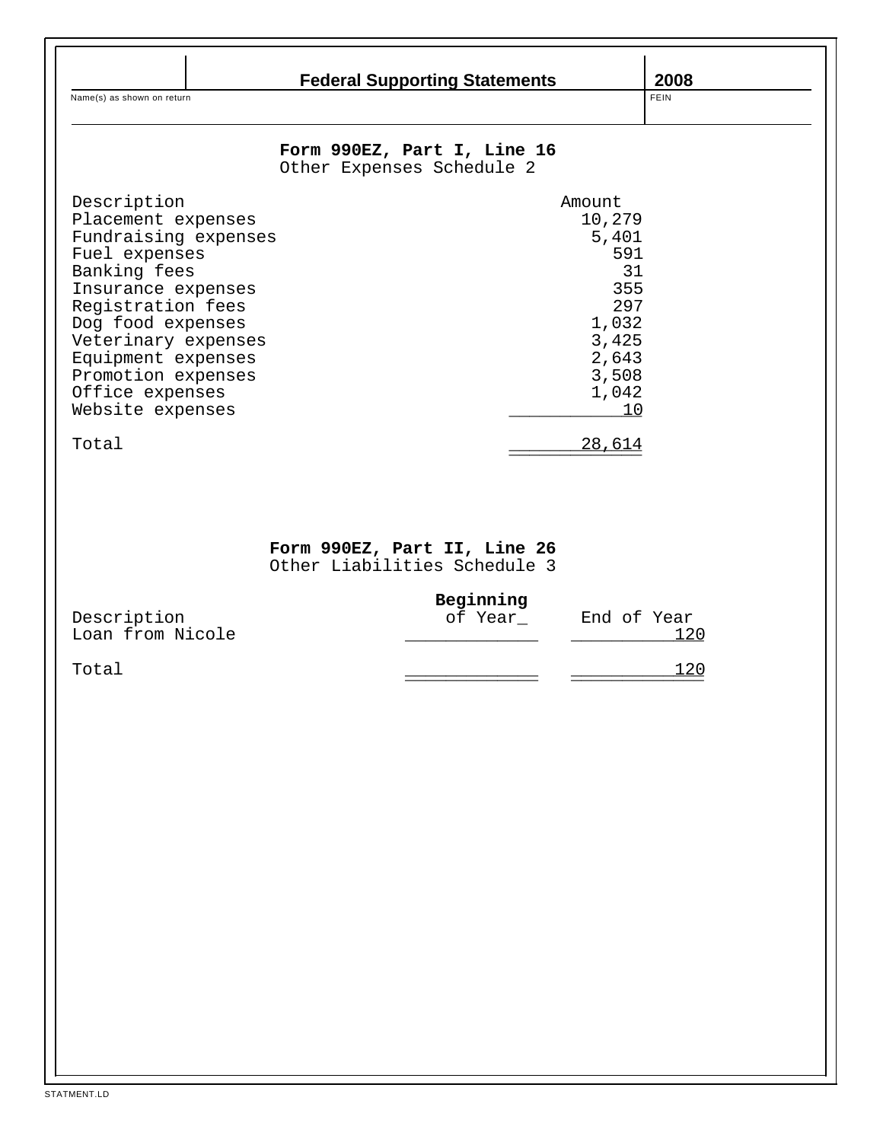| Name(s) as shown on return                                                                                                                                                                                                                                           | 2008<br><b>Federal Supporting Statements</b><br><b>FEIN</b>                                             |
|----------------------------------------------------------------------------------------------------------------------------------------------------------------------------------------------------------------------------------------------------------------------|---------------------------------------------------------------------------------------------------------|
|                                                                                                                                                                                                                                                                      | Form 990EZ, Part I, Line 16<br>Other Expenses Schedule 2                                                |
| Description<br>Placement expenses<br>Fundraising expenses<br>Fuel expenses<br>Banking fees<br>Insurance expenses<br>Registration fees<br>Dog food expenses<br>Veterinary expenses<br>Equipment expenses<br>Promotion expenses<br>Office expenses<br>Website expenses | Amount<br>10,279<br>5,401<br>591<br>31<br>355<br>297<br>1,032<br>3,425<br>2,643<br>3,508<br>1,042<br>10 |
| Total                                                                                                                                                                                                                                                                | 28,614                                                                                                  |

## **Form 990EZ, Part II, Line 26** Other Liabilities Schedule 3

| Description      | Beginning | End of Year |
|------------------|-----------|-------------|
| Loan from Nicole | of Year   | 120         |
| Total            |           |             |